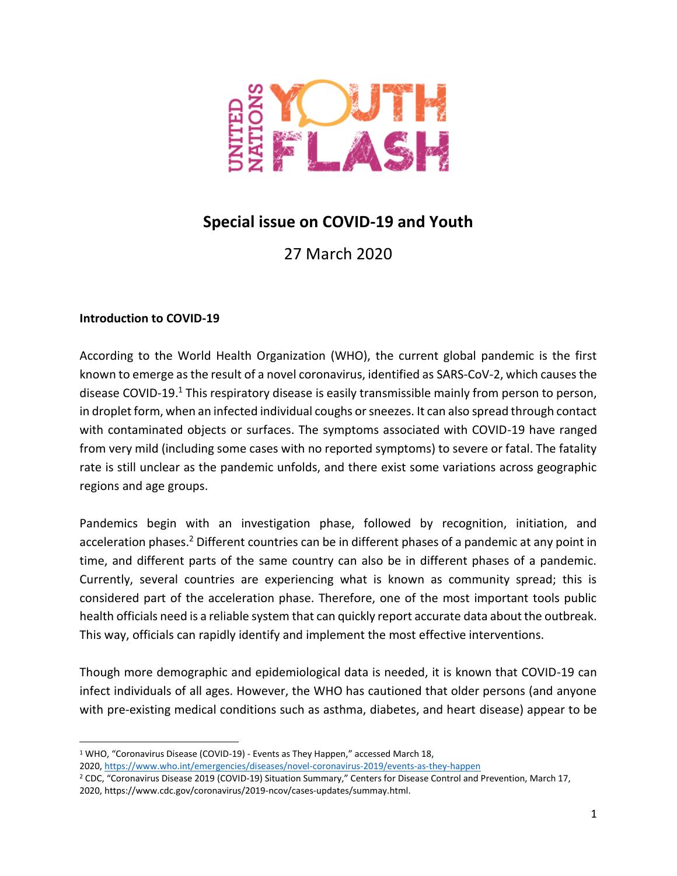

# **Special issue on COVID-19 and Youth**

27 March 2020

## **Introduction to COVID-19**

According to the World Health Organization (WHO), the current global pandemic is the first known to emerge as the result of a novel coronavirus, identified as SARS-CoV-2, which causes the disease COVID-19.<sup>1</sup> This respiratory disease is easily transmissible mainly from person to person, in droplet form, when an infected individual coughs or sneezes. It can also spread through contact with contaminated objects or surfaces. The symptoms associated with COVID-19 have ranged from very mild (including some cases with no reported symptoms) to severe or fatal. The fatality rate is still unclear as the pandemic unfolds, and there exist some variations across geographic regions and age groups.

Pandemics begin with an investigation phase, followed by recognition, initiation, and acceleration phases.<sup>2</sup> Different countries can be in different phases of a pandemic at any point in time, and different parts of the same country can also be in different phases of a pandemic. Currently, several countries are experiencing what is known as community spread; this is considered part of the acceleration phase. Therefore, one of the most important tools public health officials need is a reliable system that can quickly report accurate data about the outbreak. This way, officials can rapidly identify and implement the most effective interventions.

Though more demographic and epidemiological data is needed, it is known that COVID-19 can infect individuals of all ages. However, the WHO has cautioned that older persons (and anyone with pre-existing medical conditions such as asthma, diabetes, and heart disease) appear to be

<sup>&</sup>lt;sup>1</sup> WHO, "Coronavirus Disease (COVID-19) - Events as They Happen," accessed March 18,

<sup>2020,</sup> <https://www.who.int/emergencies/diseases/novel-coronavirus-2019/events-as-they-happen>

<sup>2</sup> CDC, "Coronavirus Disease 2019 (COVID-19) Situation Summary," Centers for Disease Control and Prevention, March 17, 2020, https://www.cdc.gov/coronavirus/2019-ncov/cases-updates/summay.html.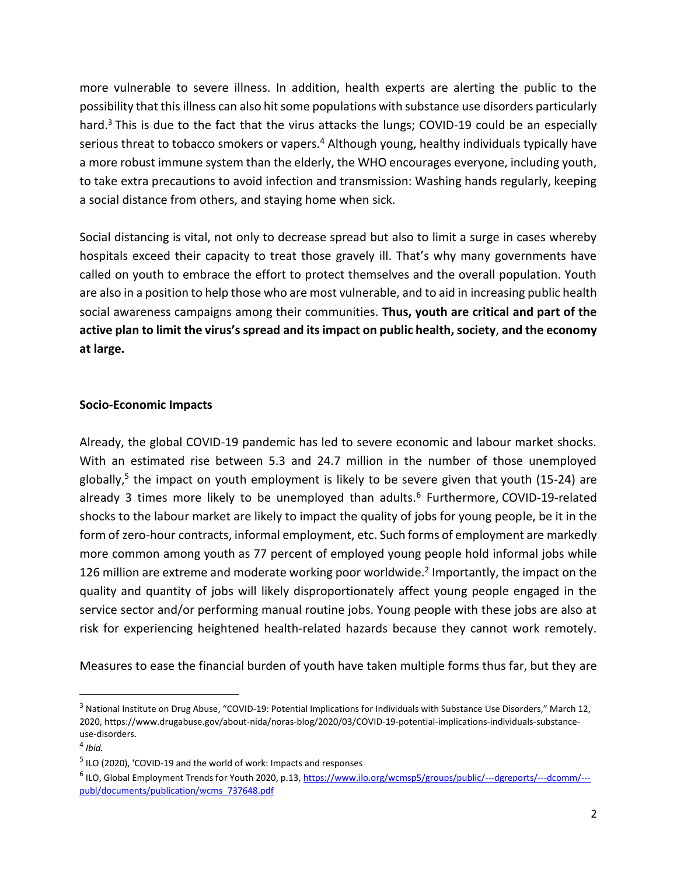more vulnerable to severe illness. In addition, health experts are alerting the public to the possibility that this illness can also hit some populations with substance use disorders particularly hard.<sup>3</sup> This is due to the fact that the virus attacks the lungs; COVID-19 could be an especially serious threat to tobacco smokers or vapers.<sup>4</sup> Although young, healthy individuals typically have a more robust immune system than the elderly, the WHO encourages everyone, including youth, to take extra precautions to avoid infection and transmission: Washing hands regularly, keeping a social distance from others, and staying home when sick.

Social distancing is vital, not only to decrease spread but also to limit a surge in cases whereby hospitals exceed their capacity to treat those gravely ill. That's why many governments have called on youth to embrace the effort to protect themselves and the overall population. Youth are also in a position to help those who are most vulnerable, and to aid in increasing public health social awareness campaigns among their communities. **Thus, youth are critical and part of the active plan to limit the virus's spread and its impact on public health, society**, **and the economy at large.** 

### **Socio-Economic Impacts**

Already, the global COVID-19 pandemic has led to severe economic and labour market shocks. With an estimated rise between 5.3 and 24.7 million in the number of those unemployed globally,<sup>5</sup> the impact on youth employment is likely to be severe given that youth (15-24) are already 3 times more likely to be unemployed than adults.<sup>6</sup> Furthermore, COVID-19-related shocks to the labour market are likely to impact the quality of jobs for young people, be it in the form of zero-hour contracts, informal employment, etc. Such forms of employment are markedly more common among youth as 77 percent of employed young people hold informal jobs while 126 million are extreme and moderate working poor worldwide.<sup>2</sup> Importantly, the impact on the quality and quantity of jobs will likely disproportionately affect young people engaged in the service sector and/or performing manual routine jobs. Young people with these jobs are also at risk for experiencing heightened health-related hazards because they cannot work remotely.

Measures to ease the financial burden of youth have taken multiple forms thus far, but they are

<sup>&</sup>lt;sup>3</sup> National Institute on Drug Abuse, "COVID-19: Potential Implications for Individuals with Substance Use Disorders," March 12, 2020, https://www.drugabuse.gov/about-nida/noras-blog/2020/03/COVID-19-potential-implications-individuals-substanceuse-disorders.

<sup>4</sup> *Ibid.*

<sup>&</sup>lt;sup>5</sup> ILO (2020), 'COVID-19 and the world of work: Impacts and responses

<sup>&</sup>lt;sup>6</sup> ILO, Global Employment Trends for Youth 2020, p.13, <u>[https://www.ilo.org/wcmsp5/groups/public/---dgreports/---dcomm/---](https://www.ilo.org/wcmsp5/groups/public/---dgreports/---dcomm/---publ/documents/publication/wcms_737648.pdf)</u> [publ/documents/publication/wcms\\_737648.pdf](https://www.ilo.org/wcmsp5/groups/public/---dgreports/---dcomm/---publ/documents/publication/wcms_737648.pdf)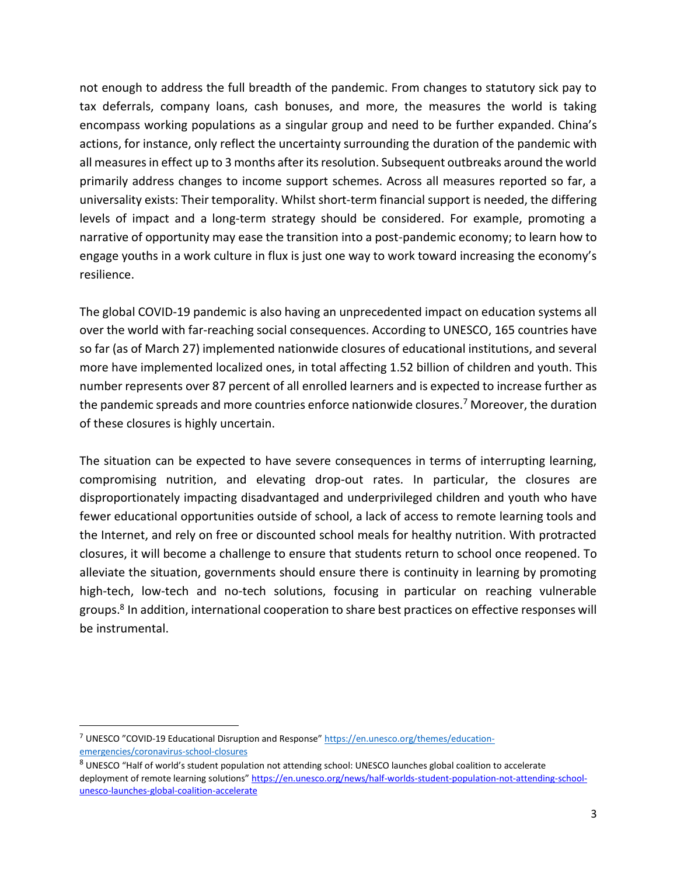not enough to address the full breadth of the pandemic. From changes to statutory sick pay to tax deferrals, company loans, cash bonuses, and more, the measures the world is taking encompass working populations as a singular group and need to be further expanded. China's actions, for instance, only reflect the uncertainty surrounding the duration of the pandemic with all measures in effect up to 3 months after its resolution. Subsequent outbreaks around the world primarily address changes to income support schemes. Across all measures reported so far, a universality exists: Their temporality. Whilst short-term financial support is needed, the differing levels of impact and a long-term strategy should be considered. For example, promoting a narrative of opportunity may ease the transition into a post-pandemic economy; to learn how to engage youths in a work culture in flux is just one way to work toward increasing the economy's resilience.

The global COVID-19 pandemic is also having an unprecedented impact on education systems all over the world with far-reaching social consequences. According to UNESCO, 165 countries have so far (as of March 27) implemented nationwide closures of educational institutions, and several more have implemented localized ones, in total affecting 1.52 billion of children and youth. This number represents over 87 percent of all enrolled learners and is expected to increase further as the pandemic spreads and more countries enforce nationwide closures.<sup>7</sup> Moreover, the duration of these closures is highly uncertain.

The situation can be expected to have severe consequences in terms of interrupting learning, compromising nutrition, and elevating drop-out rates. In particular, the closures are disproportionately impacting disadvantaged and underprivileged children and youth who have fewer educational opportunities outside of school, a lack of access to remote learning tools and the Internet, and rely on free or discounted school meals for healthy nutrition. With protracted closures, it will become a challenge to ensure that students return to school once reopened. To alleviate the situation, governments should ensure there is continuity in learning by promoting high-tech, low-tech and no-tech solutions, focusing in particular on reaching vulnerable groups.<sup>8</sup> In addition, international cooperation to share best practices on effective responses will be instrumental.

<sup>7</sup> UNESCO "COVID-19 Educational Disruption and Response" [https://en.unesco.org/themes/education](https://en.unesco.org/themes/education-emergencies/coronavirus-school-closures)[emergencies/coronavirus-school-closures](https://en.unesco.org/themes/education-emergencies/coronavirus-school-closures)

<sup>&</sup>lt;sup>8</sup> UNESCO "Half of world's student population not attending school: UNESCO launches global coalition to accelerate deployment of remote learning solutions" [https://en.unesco.org/news/half-worlds-student-population-not-attending-school](https://en.unesco.org/news/half-worlds-student-population-not-attending-school-unesco-launches-global-coalition-accelerate)[unesco-launches-global-coalition-accelerate](https://en.unesco.org/news/half-worlds-student-population-not-attending-school-unesco-launches-global-coalition-accelerate)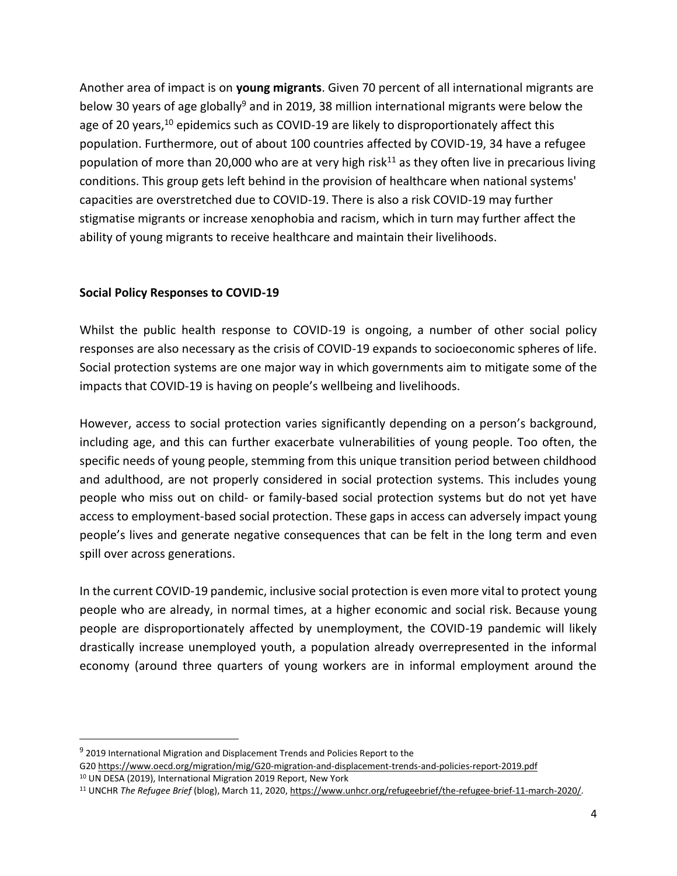Another area of impact is on **young migrants**. Given 70 percent of all international migrants are below 30 years of age globally<sup>9</sup> and in 2019, 38 million international migrants were below the age of 20 years, $10$  epidemics such as COVID-19 are likely to disproportionately affect this population. Furthermore, out of about 100 countries affected by COVID-19, 34 have a refugee population of more than 20,000 who are at very high risk<sup>11</sup> as they often live in precarious living conditions. This group gets left behind in the provision of healthcare when national systems' capacities are overstretched due to COVID-19. There is also a risk COVID-19 may further stigmatise migrants or increase xenophobia and racism, which in turn may further affect the ability of young migrants to receive healthcare and maintain their livelihoods.

#### **Social Policy Responses to COVID-19**

Whilst the public health response to COVID-19 is ongoing, a number of other social policy responses are also necessary as the crisis of COVID-19 expands to socioeconomic spheres of life. Social protection systems are one major way in which governments aim to mitigate some of the impacts that COVID-19 is having on people's wellbeing and livelihoods.

However, access to social protection varies significantly depending on a person's background, including age, and this can further exacerbate vulnerabilities of young people. Too often, the specific needs of young people, stemming from this unique transition period between childhood and adulthood, are not properly considered in social protection systems. This includes young people who miss out on child- or family-based social protection systems but do not yet have access to employment-based social protection. These gaps in access can adversely impact young people's lives and generate negative consequences that can be felt in the long term and even spill over across generations.

In the current COVID-19 pandemic, inclusive social protection is even more vital to protect young people who are already, in normal times, at a higher economic and social risk. Because young people are disproportionately affected by unemployment, the COVID-19 pandemic will likely drastically increase unemployed youth, a population already overrepresented in the informal economy (around three quarters of young workers are in informal employment around the

<sup>&</sup>lt;sup>9</sup> 2019 International Migration and Displacement Trends and Policies Report to the

G20 <https://www.oecd.org/migration/mig/G20-migration-and-displacement-trends-and-policies-report-2019.pdf> <sup>10</sup> UN DESA (2019), International Migration 2019 Report, New York

<sup>11</sup> UNCHR *The Refugee Brief* (blog), March 11, 2020, [https://www.unhcr.org/refugeebrief/the-refugee-brief-11-march-2020/.](https://www.unhcr.org/refugeebrief/the-refugee-brief-11-march-2020/)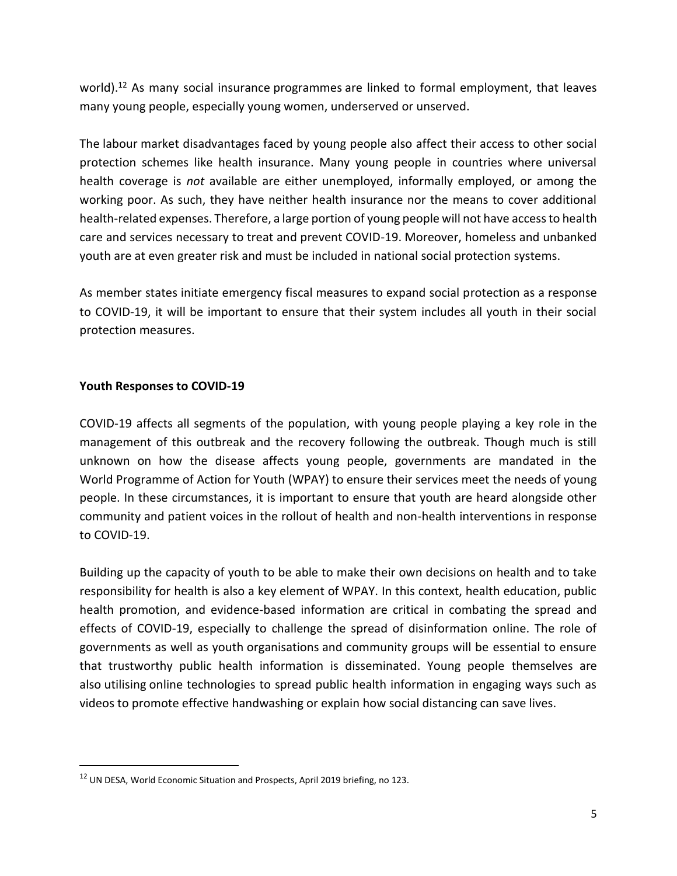world).<sup>12</sup> As many social insurance programmes are linked to formal employment, that leaves many young people, especially young women, underserved or unserved.

The labour market disadvantages faced by young people also affect their access to other social protection schemes like health insurance. Many young people in countries where universal health coverage is *not* available are either unemployed, informally employed, or among the working poor. As such, they have neither health insurance nor the means to cover additional health-related expenses. Therefore, a large portion of young people will not have access to health care and services necessary to treat and prevent COVID-19. Moreover, homeless and unbanked youth are at even greater risk and must be included in national social protection systems.

As member states initiate emergency fiscal measures to expand social protection as a response to COVID-19, it will be important to ensure that their system includes all youth in their social protection measures.

#### **Youth Responses to COVID-19**

COVID-19 affects all segments of the population, with young people playing a key role in the management of this outbreak and the recovery following the outbreak. Though much is still unknown on how the disease affects young people, governments are mandated in the World Programme of Action for Youth (WPAY) to ensure their services meet the needs of young people. In these circumstances, it is important to ensure that youth are heard alongside other community and patient voices in the rollout of health and non-health interventions in response to COVID-19.

Building up the capacity of youth to be able to make their own decisions on health and to take responsibility for health is also a key element of WPAY. In this context, health education, public health promotion, and evidence-based information are critical in combating the spread and effects of COVID-19, especially to challenge the spread of disinformation online. The role of governments as well as youth organisations and community groups will be essential to ensure that trustworthy public health information is disseminated. Young people themselves are also utilising online technologies to spread public health information in engaging ways such as videos to promote effective handwashing or explain how social distancing can save lives.

<sup>&</sup>lt;sup>12</sup> UN DESA, World Economic Situation and Prospects, April 2019 briefing, no 123.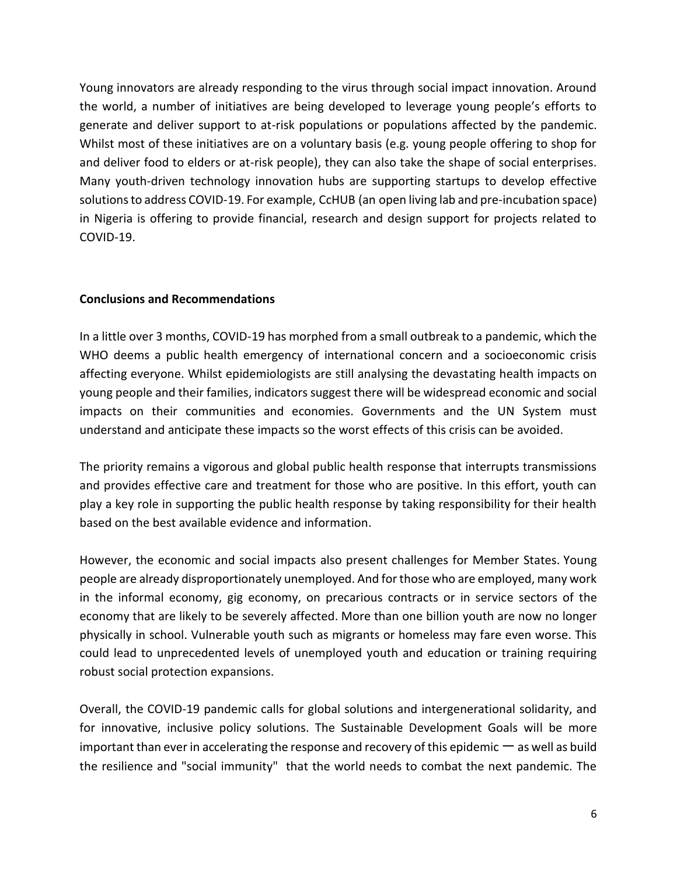Young innovators are already responding to the virus through social impact innovation. Around the world, a number of initiatives are being developed to leverage young people's efforts to generate and deliver support to at-risk populations or populations affected by the pandemic. Whilst most of these initiatives are on a voluntary basis (e.g. young people offering to shop for and deliver food to elders or at-risk people), they can also take the shape of social enterprises. Many youth-driven technology innovation hubs are supporting startups to develop effective solutions to address COVID-19. For example, CcHUB (an open living lab and pre-incubation space) in Nigeria is offering to provide financial, research and design support for projects related to COVID-19.

#### **Conclusions and Recommendations**

In a little over 3 months, COVID-19 has morphed from a small outbreak to a pandemic, which the WHO deems a public health emergency of international concern and a socioeconomic crisis affecting everyone. Whilst epidemiologists are still analysing the devastating health impacts on young people and their families, indicators suggest there will be widespread economic and social impacts on their communities and economies. Governments and the UN System must understand and anticipate these impacts so the worst effects of this crisis can be avoided.

The priority remains a vigorous and global public health response that interrupts transmissions and provides effective care and treatment for those who are positive. In this effort, youth can play a key role in supporting the public health response by taking responsibility for their health based on the best available evidence and information.

However, the economic and social impacts also present challenges for Member States. Young people are already disproportionately unemployed. And for those who are employed, many work in the informal economy, gig economy, on precarious contracts or in service sectors of the economy that are likely to be severely affected. More than one billion youth are now no longer physically in school. Vulnerable youth such as migrants or homeless may fare even worse. This could lead to unprecedented levels of unemployed youth and education or training requiring robust social protection expansions.

Overall, the COVID-19 pandemic calls for global solutions and intergenerational solidarity, and for innovative, inclusive policy solutions. The Sustainable Development Goals will be more important than ever in accelerating the response and recovery of this epidemic  $-$  as well as build the resilience and "social immunity" that the world needs to combat the next pandemic. The